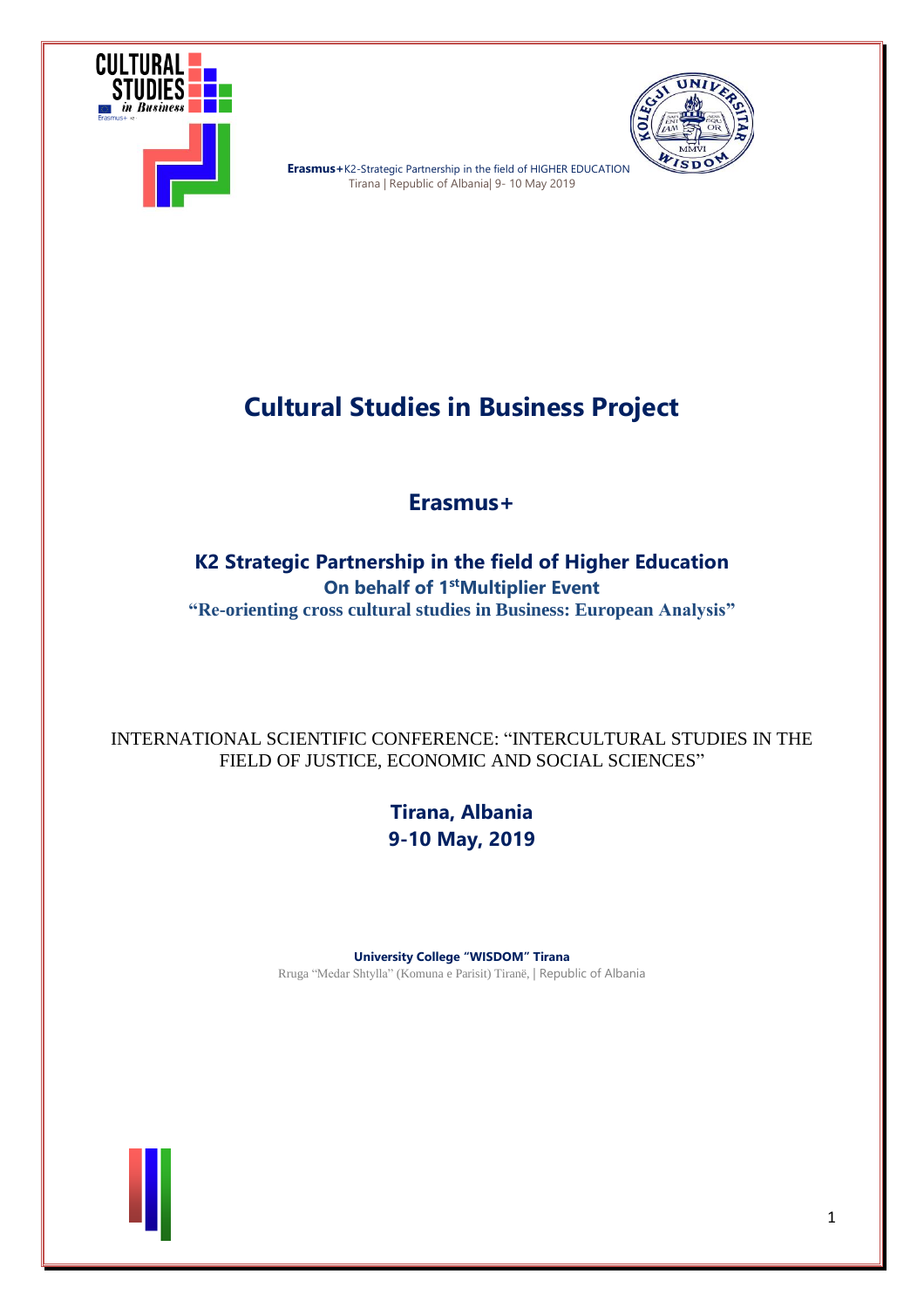



**Er Erasmus+**K2-Strategic Partnership in the field of HIGHER EDUCATION Tirana | Republic of Albania| 9- 10 May 2019

# **Cultural Studies in Business Project**

# **Erasmus+**

## **K2 Strategic Partnership in the field of Higher Education On behalf of 1 stMultiplier Event "Re-orienting cross cultural studies in Business: European Analysis"**

### INTERNATIONAL SCIENTIFIC CONFERENCE: "INTERCULTURAL STUDIES IN THE FIELD OF JUSTICE, ECONOMIC AND SOCIAL SCIENCES"

**Tirana, Albania 9-10 May, 2019**

**University College "WISDOM" Tirana** Rruga "Medar Shtylla" (Komuna e Parisit) Tiranë, | Republic of Albania

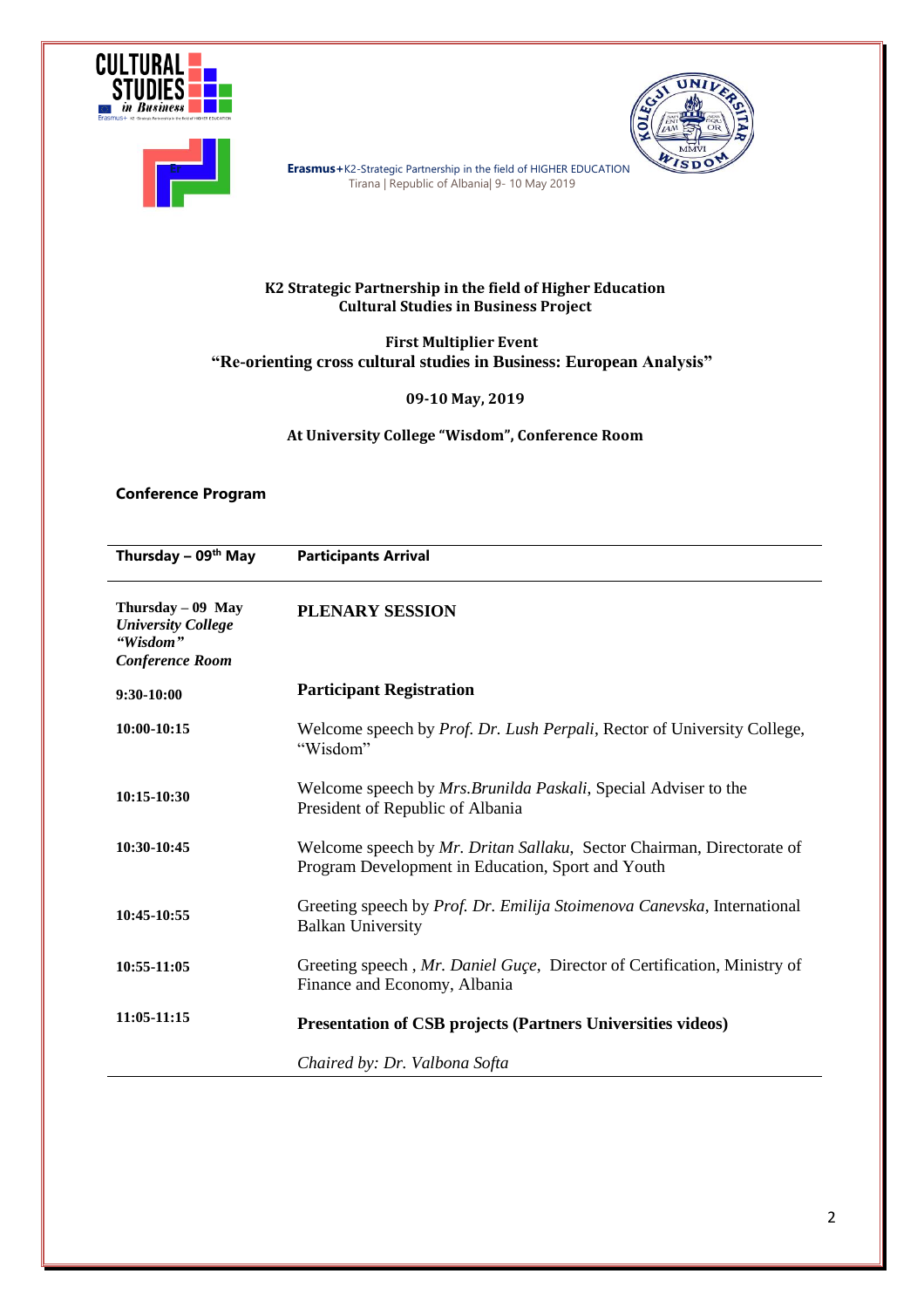



**Er Erasmus+**K2-Strategic Partnership in the field of HIGHER EDUCATION Tirana | Republic of Albania| 9- 10 May 2019

#### **K2 Strategic Partnership in the field of Higher Education Cultural Studies in Business Project**

**First Multiplier Event "Re-orienting cross cultural studies in Business: European Analysis"**

**09-10 May, 2019**

**At University College "Wisdom", Conference Room**

#### **Conference Program**

**Thursday – 09th May Participants Arrival Thursday – 09 May** *University College "Wisdom" Conference Room* **9:30-10:00 10:00-10:15 10:15-10:30 10:30-10:45 10:45-10:55 10:55-11:05 11:05-11:15 PLENARY SESSION Participant Registration** Welcome speech by *Prof. Dr. Lush Perpali*, Rector of University College, "Wisdom" Welcome speech by *Mrs.Brunilda Paskali*, Special Adviser to the President of Republic of Albania Welcome speech by *Mr. Dritan Sallaku*, Sector Chairman, Directorate of Program Development in Education, Sport and Youth Greeting speech by *Prof. Dr. Emilija Stoimenova Canevska*, International Balkan University Greeting speech , *Mr. Daniel Guçe*, Director of Certification, Ministry of Finance and Economy, Albania **Presentation of CSB projects (Partners Universities videos)** *Chaired by: Dr. Valbona Softa*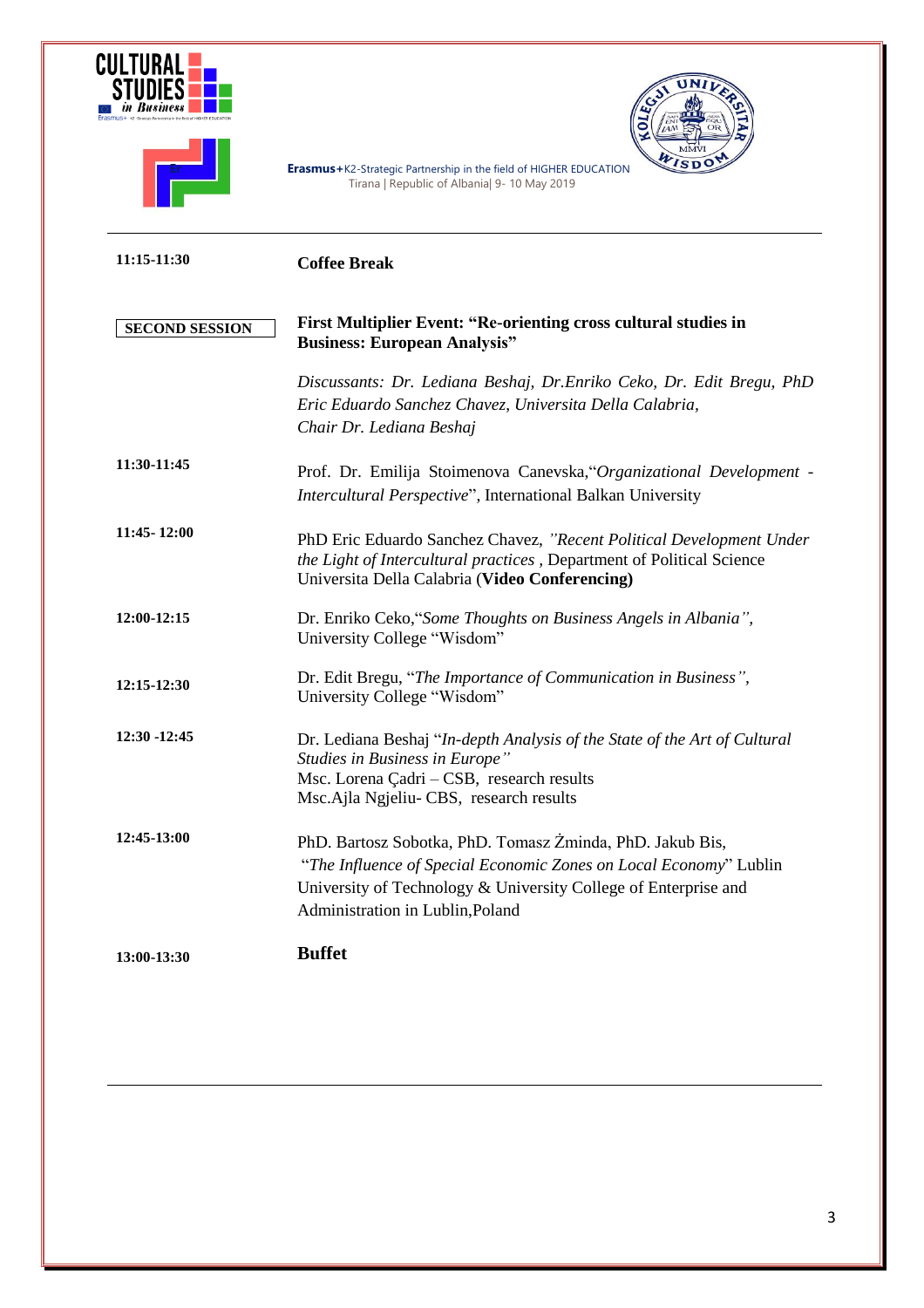|                       | JO<br>Erasmus+K2-Strategic Partnership in the field of HIGHER EDUCATION<br>Tirana   Republic of Albania  9- 10 May 2019                                                                                                               |
|-----------------------|---------------------------------------------------------------------------------------------------------------------------------------------------------------------------------------------------------------------------------------|
| 11:15-11:30           | <b>Coffee Break</b>                                                                                                                                                                                                                   |
| <b>SECOND SESSION</b> | First Multiplier Event: "Re-orienting cross cultural studies in<br><b>Business: European Analysis"</b>                                                                                                                                |
|                       | Discussants: Dr. Lediana Beshaj, Dr.Enriko Ceko, Dr. Edit Bregu, PhD<br>Eric Eduardo Sanchez Chavez, Universita Della Calabria,<br>Chair Dr. Lediana Beshaj                                                                           |
| 11:30-11:45           | Prof. Dr. Emilija Stoimenova Canevska, "Organizational Development -<br>Intercultural Perspective", International Balkan University                                                                                                   |
| 11:45-12:00           | PhD Eric Eduardo Sanchez Chavez, "Recent Political Development Under<br>the Light of Intercultural practices, Department of Political Science<br>Universita Della Calabria (Video Conferencing)                                       |
| 12:00-12:15           | Dr. Enriko Ceko, "Some Thoughts on Business Angels in Albania",<br>University College "Wisdom"                                                                                                                                        |
| 12:15-12:30           | Dr. Edit Bregu, "The Importance of Communication in Business",<br>University College "Wisdom"                                                                                                                                         |
| 12:30 -12:45          | Dr. Lediana Beshaj "In-depth Analysis of the State of the Art of Cultural<br>Studies in Business in Europe"<br>Msc. Lorena Çadri - CSB, research results<br>Msc.Ajla Ngjeliu- CBS, research results                                   |
| 12:45-13:00           | PhD. Bartosz Sobotka, PhD. Tomasz Żminda, PhD. Jakub Bis,<br>"The Influence of Special Economic Zones on Local Economy" Lublin<br>University of Technology & University College of Enterprise and<br>Administration in Lublin, Poland |
| 13:00-13:30           | <b>Buffet</b>                                                                                                                                                                                                                         |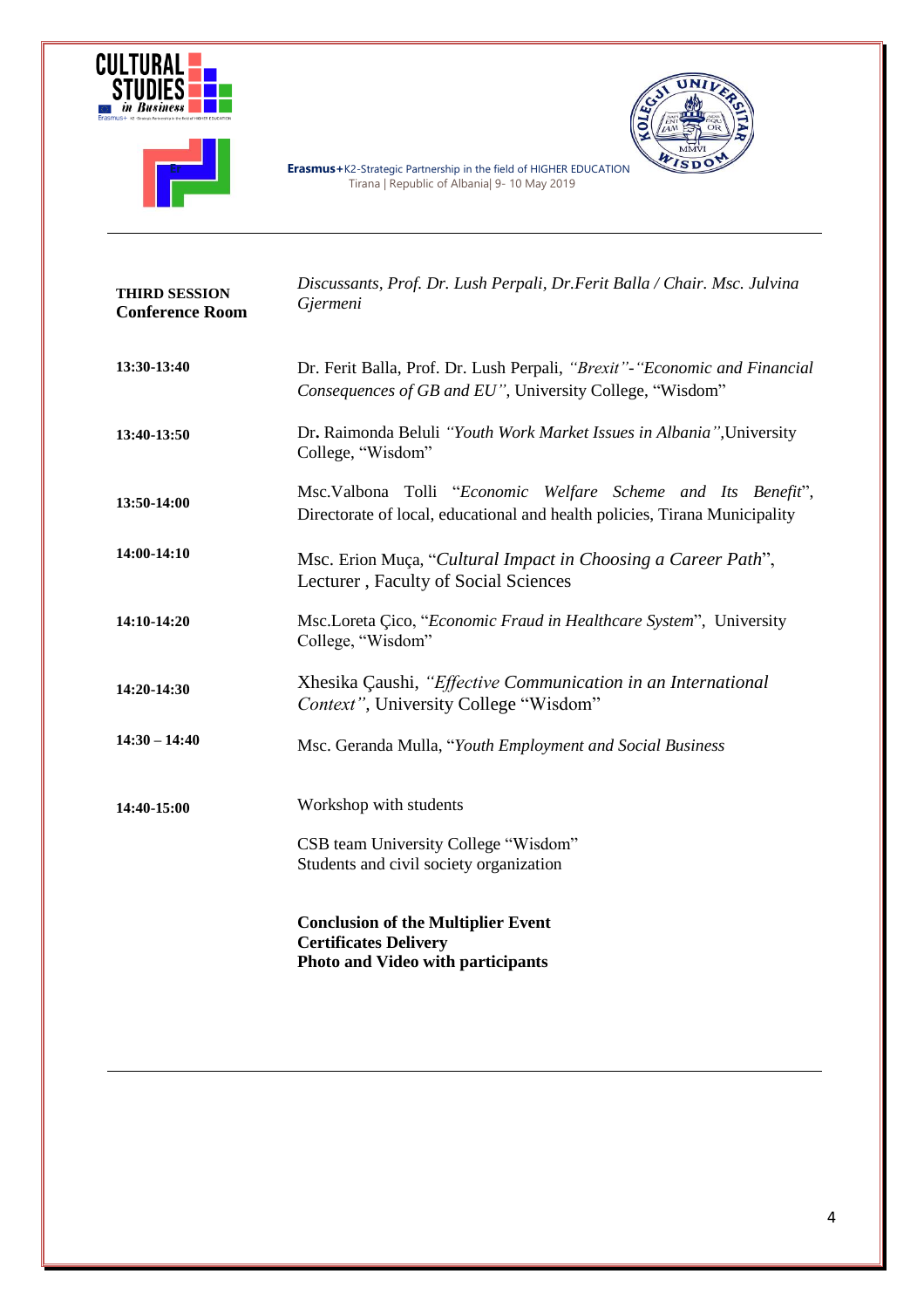



**Er Erasmus+**K2-Strategic Partnership in the field of HIGHER EDUCATION Tirana | Republic of Albania| 9- 10 May 2019



**THIRD SESSION Conference Room 13:30-13:40 13:40-13:50 13:50-14:00 14:00-14:10 14:10-14:20 14:20-14:30 14:30 – 14:40 14:40-15:00** *Discussants, Prof. Dr. Lush Perpali, Dr.Ferit Balla / Chair. Msc. Julvina Gjermeni* Dr. Ferit Balla, Prof. Dr. Lush Perpali, *"Brexit"-"Economic and Financial Consequences of GB and EU"*, University College, "Wisdom" Dr**.** Raimonda Beluli *"Youth Work Market Issues in Albania",*University College, "Wisdom" Msc.Valbona Tolli "*Economic Welfare Scheme and Its Benefit*", Directorate of local, educational and health policies, Tirana Municipality Msc. Erion Muça, "*Cultural Impact in Choosing a Career Path*", Lecturer , Faculty of Social Sciences Msc.Loreta Çico, "*Economic Fraud in Healthcare System*", University College, "Wisdom" Xhesika Çaushi, *"Effective Communication in an International Context",* University College "Wisdom" Msc. Geranda Mulla, "*Youth Employment and Social Business* Workshop with students CSB team University College "Wisdom" Students and civil society organization **Conclusion of the Multiplier Event Certificates Delivery Photo and Video with participants**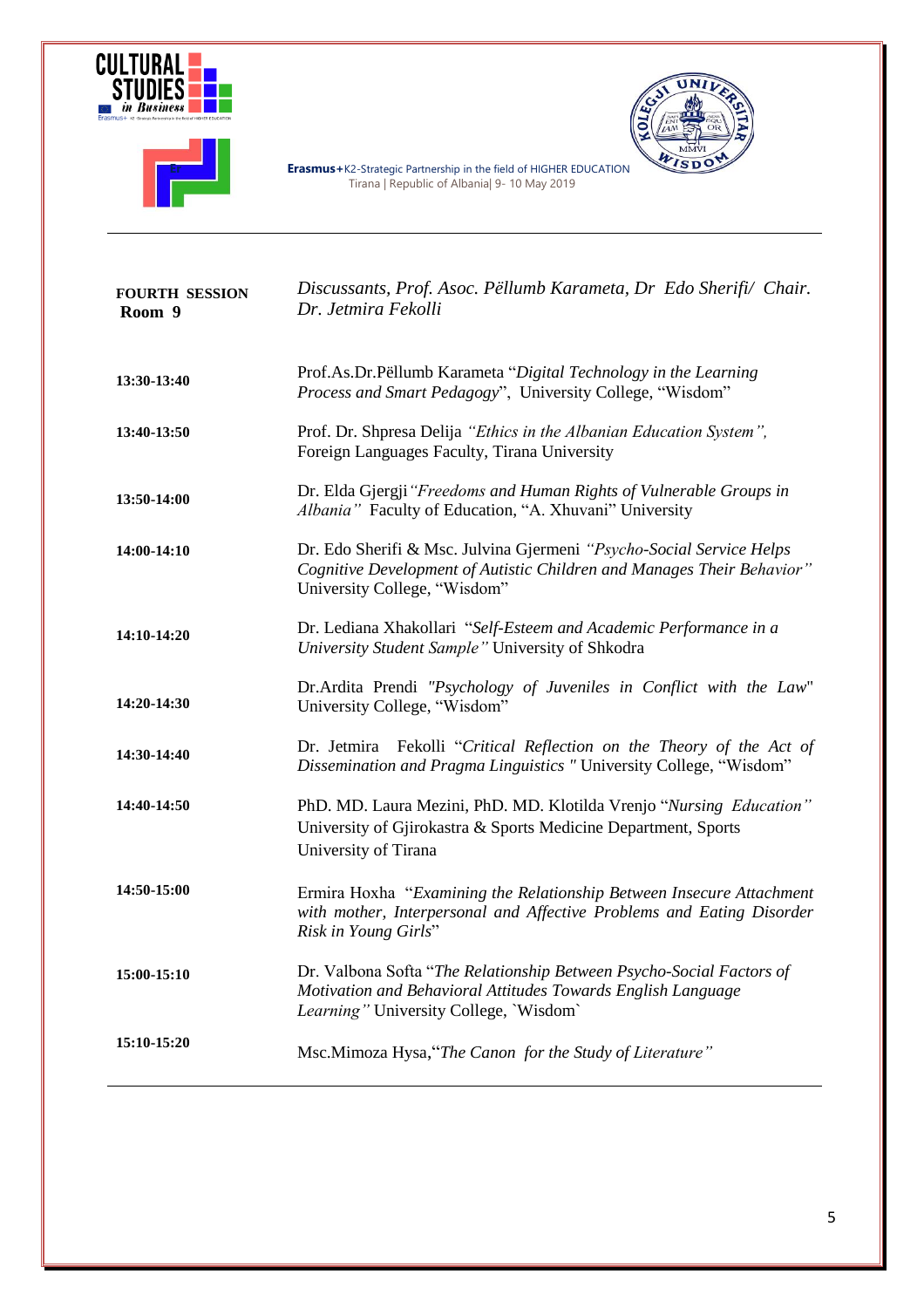



UNIL ē WISDO

**Er Constitute Partners Erasmus** + K2-Strategic Partnership in the field of HIGHER EDUCATION Tirana | Republic of Albania| 9- 10 May 2019

| <b>FOURTH SESSION</b><br>Room 9 | Discussants, Prof. Asoc. Pëllumb Karameta, Dr Edo Sherifi/ Chair.<br>Dr. Jetmira Fekolli                                                                                       |
|---------------------------------|--------------------------------------------------------------------------------------------------------------------------------------------------------------------------------|
| 13:30-13:40                     | Prof.As.Dr.Pëllumb Karameta "Digital Technology in the Learning<br>Process and Smart Pedagogy", University College, "Wisdom"                                                   |
| 13:40-13:50                     | Prof. Dr. Shpresa Delija "Ethics in the Albanian Education System",<br>Foreign Languages Faculty, Tirana University                                                            |
| 13:50-14:00                     | Dr. Elda Gjergji "Freedoms and Human Rights of Vulnerable Groups in<br>Albania" Faculty of Education, "A. Xhuvani" University                                                  |
| 14:00-14:10                     | Dr. Edo Sherifi & Msc. Julvina Gjermeni "Psycho-Social Service Helps<br>Cognitive Development of Autistic Children and Manages Their Behavior"<br>University College, "Wisdom" |
| 14:10-14:20                     | Dr. Lediana Xhakollari "Self-Esteem and Academic Performance in a<br>University Student Sample" University of Shkodra                                                          |
| 14:20-14:30                     | Dr.Ardita Prendi "Psychology of Juveniles in Conflict with the Law"<br>University College, "Wisdom"                                                                            |
| 14:30-14:40                     | Dr. Jetmira Fekolli "Critical Reflection on the Theory of the Act of<br>Dissemination and Pragma Linguistics "University College, "Wisdom"                                     |
| 14:40-14:50                     | PhD. MD. Laura Mezini, PhD. MD. Klotilda Vrenjo "Nursing Education"<br>University of Gjirokastra & Sports Medicine Department, Sports<br>University of Tirana                  |
| 14:50-15:00                     | Ermira Hoxha "Examining the Relationship Between Insecure Attachment<br>with mother, Interpersonal and Affective Problems and Eating Disorder<br>Risk in Young Girls"          |
| 15:00-15:10                     | Dr. Valbona Softa "The Relationship Between Psycho-Social Factors of<br>Motivation and Behavioral Attitudes Towards English Language<br>Learning" University College, 'Wisdom' |
| 15:10-15:20                     | Msc.Mimoza Hysa, "The Canon for the Study of Literature"                                                                                                                       |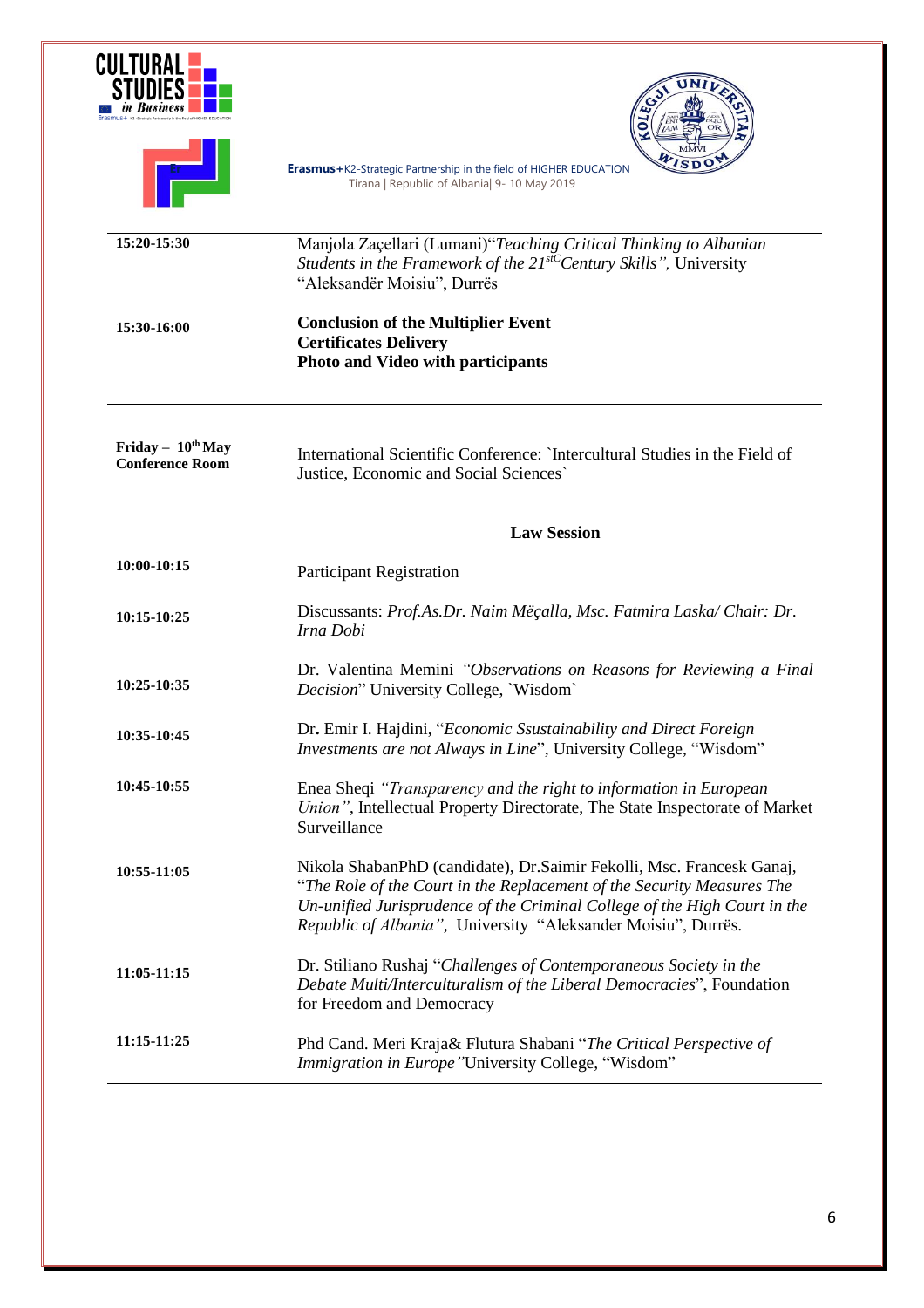|                                                  | <b>b</b>                                                                                                                                                                                                                                                                                      |  |
|--------------------------------------------------|-----------------------------------------------------------------------------------------------------------------------------------------------------------------------------------------------------------------------------------------------------------------------------------------------|--|
|                                                  | Erasmus+K2-Strategic Partnership in the field of HIGHER EDUCATION<br>Tirana   Republic of Albania  9- 10 May 2019                                                                                                                                                                             |  |
| 15:20-15:30                                      | Manjola Zaçellari (Lumani)"Teaching Critical Thinking to Albanian<br>Students in the Framework of the $21^{stC}$ Century Skills", University<br>"Aleksandër Moisiu", Durrës                                                                                                                   |  |
| 15:30-16:00                                      | <b>Conclusion of the Multiplier Event</b><br><b>Certificates Delivery</b><br><b>Photo and Video with participants</b>                                                                                                                                                                         |  |
| Friday - $10^{th}$ May<br><b>Conference Room</b> | International Scientific Conference: `Intercultural Studies in the Field of<br>Justice, Economic and Social Sciences`                                                                                                                                                                         |  |
|                                                  | <b>Law Session</b>                                                                                                                                                                                                                                                                            |  |
| 10:00-10:15                                      | Participant Registration                                                                                                                                                                                                                                                                      |  |
| 10:15-10:25                                      | Discussants: Prof.As.Dr. Naim Mëçalla, Msc. Fatmira Laska/ Chair: Dr.<br>Irna Dobi                                                                                                                                                                                                            |  |
| 10:25-10:35                                      | Dr. Valentina Memini "Observations on Reasons for Reviewing a Final<br>Decision" University College, 'Wisdom'                                                                                                                                                                                 |  |
| 10:35-10:45                                      | Dr. Emir I. Hajdini, "Economic Ssustainability and Direct Foreign<br><i>Investments are not Always in Line"</i> , University College, "Wisdom"                                                                                                                                                |  |
| 10:45-10:55                                      | Enea Sheqi "Transparency and the right to information in European<br>Union", Intellectual Property Directorate, The State Inspectorate of Market<br>Surveillance                                                                                                                              |  |
| 10:55-11:05                                      | Nikola ShabanPhD (candidate), Dr.Saimir Fekolli, Msc. Francesk Ganaj,<br>"The Role of the Court in the Replacement of the Security Measures The<br>Un-unified Jurisprudence of the Criminal College of the High Court in the<br>Republic of Albania", University "Aleksander Moisiu", Durrës. |  |
| 11:05-11:15                                      | Dr. Stiliano Rushaj "Challenges of Contemporaneous Society in the<br>Debate Multi/Interculturalism of the Liberal Democracies", Foundation<br>for Freedom and Democracy                                                                                                                       |  |
| 11:15-11:25                                      | Phd Cand. Meri Kraja& Flutura Shabani "The Critical Perspective of<br>Immigration in Europe "University College, "Wisdom"                                                                                                                                                                     |  |